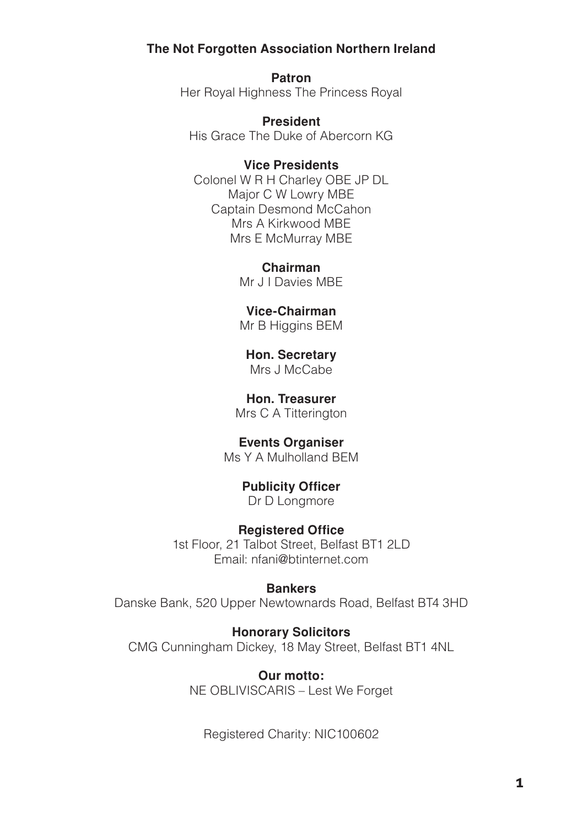### **The Not Forgotten Association Northern Ireland**

**Patron** Her Royal Highness The Princess Royal

**President** His Grace The Duke of Abercorn KG

#### **Vice Presidents**

Colonel W R H Charley OBE JP DL Major C W Lowry MBE Captain Desmond McCahon Mrs A Kirkwood MBE Mrs E McMurray MBE

> **Chairman** Mr J I Davies MBE

> **Vice-Chairman** Mr B Higgins BEM

**Hon. Secretary** Mrs J McCabe

**Hon. Treasurer** Mrs C A Titterington

### **Events Organiser**

Ms Y A Mulholland BEM

## **Publicity Officer**

Dr D Longmore

#### **Registered Office**

1st Floor, 21 Talbot Street, Belfast BT1 2LD Email: nfani@btinternet.com

### **Bankers**

Danske Bank, 520 Upper Newtownards Road, Belfast BT4 3HD

#### **Honorary Solicitors**

CMG Cunningham Dickey, 18 May Street, Belfast BT1 4NL

**Our motto:** NE OBLIVISCARIS – Lest We Forget

Registered Charity: NIC100602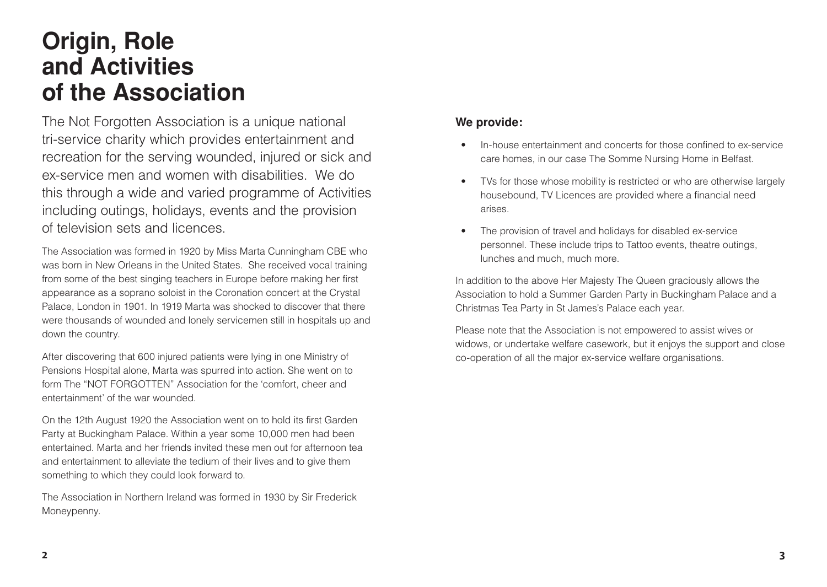# **Origin, Role and Activities of the Association**

The Not Forgotten Association is a unique national tri-service charity which provides entertainment and recreation for the serving wounded, injured or sick and ex-service men and women with disabilities. We do this through a wide and varied programme of Activities including outings, holidays, events and the provision of television sets and licences.

The Association was formed in 1920 by Miss Marta Cunningham CBE who was born in New Orleans in the United States. She received vocal training from some of the best singing teachers in Europe before making her first appearance as a soprano soloist in the Coronation concert at the Crystal Palace, London in 1901. In 1919 Marta was shocked to discover that there were thousands of wounded and lonely servicemen still in hospitals up and down the country.

After discovering that 600 injured patients were lying in one Ministry of Pensions Hospital alone, Marta was spurred into action. She went on to form The "NOT FORGOTTEN" Association for the 'comfort, cheer and entertainment' of the war wounded.

On the 12th August 1920 the Association went on to hold its first Garden Party at Buckingham Palace. Within a year some 10,000 men had been entertained. Marta and her friends invited these men out for afternoon tea and entertainment to alleviate the tedium of their lives and to give them something to which they could look forward to.

The Association in Northern Ireland was formed in 1930 by Sir Frederick Moneypenny.

### **We provide:**

- • In-house entertainment and concerts for those confined to ex-service care homes, in our case The Somme Nursing Home in Belfast.
- TVs for those whose mobility is restricted or who are otherwise largely housebound, TV Licences are provided where a financial need arises.
- The provision of travel and holidays for disabled ex-service personnel. These include trips to Tattoo events, theatre outings, lunches and much, much more.

In addition to the above Her Majesty The Queen graciously allows the Association to hold a Summer Garden Party in Buckingham Palace and a Christmas Tea Party in St James's Palace each year.

Please note that the Association is not empowered to assist wives or widows, or undertake welfare casework, but it enjoys the support and close co-operation of all the major ex-service welfare organisations.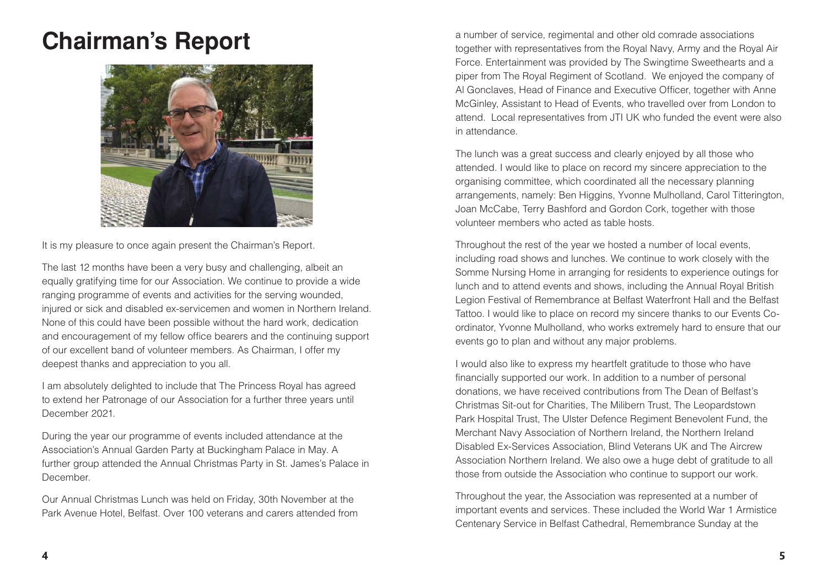# **Chairman's Report**



It is my pleasure to once again present the Chairman's Report.

The last 12 months have been a very busy and challenging, albeit an equally gratifying time for our Association. We continue to provide a wide ranging programme of events and activities for the serving wounded, injured or sick and disabled ex-servicemen and women in Northern Ireland. None of this could have been possible without the hard work, dedication and encouragement of my fellow office bearers and the continuing support of our excellent band of volunteer members. As Chairman, I offer my deepest thanks and appreciation to you all.

I am absolutely delighted to include that The Princess Royal has agreed to extend her Patronage of our Association for a further three years until December 2021.

During the year our programme of events included attendance at the Association's Annual Garden Party at Buckingham Palace in May. A further group attended the Annual Christmas Party in St. James's Palace in December.

Our Annual Christmas Lunch was held on Friday, 30th November at the Park Avenue Hotel, Belfast. Over 100 veterans and carers attended from a number of service, regimental and other old comrade associations together with representatives from the Royal Navy, Army and the Royal Air Force. Entertainment was provided by The Swingtime Sweethearts and a piper from The Royal Regiment of Scotland. We enjoyed the company of Al Gonclaves, Head of Finance and Executive Officer, together with Anne McGinley, Assistant to Head of Events, who travelled over from London to attend. Local representatives from JTI UK who funded the event were also in attendance.

The lunch was a great success and clearly enjoyed by all those who attended. I would like to place on record my sincere appreciation to the organising committee, which coordinated all the necessary planning arrangements, namely: Ben Higgins, Yvonne Mulholland, Carol Titterington, Joan McCabe, Terry Bashford and Gordon Cork, together with those volunteer members who acted as table hosts.

Throughout the rest of the year we hosted a number of local events, including road shows and lunches. We continue to work closely with the Somme Nursing Home in arranging for residents to experience outings for lunch and to attend events and shows, including the Annual Royal British Legion Festival of Remembrance at Belfast Waterfront Hall and the Belfast Tattoo. I would like to place on record my sincere thanks to our Events Coordinator, Yvonne Mulholland, who works extremely hard to ensure that our events go to plan and without any major problems.

I would also like to express my heartfelt gratitude to those who have financially supported our work. In addition to a number of personal donations, we have received contributions from The Dean of Belfast's Christmas Sit-out for Charities, The Milibern Trust, The Leopardstown Park Hospital Trust, The Ulster Defence Regiment Benevolent Fund, the Merchant Navy Association of Northern Ireland, the Northern Ireland Disabled Ex-Services Association, Blind Veterans UK and The Aircrew Association Northern Ireland. We also owe a huge debt of gratitude to all those from outside the Association who continue to support our work.

Throughout the year, the Association was represented at a number of important events and services. These included the World War 1 Armistice Centenary Service in Belfast Cathedral, Remembrance Sunday at the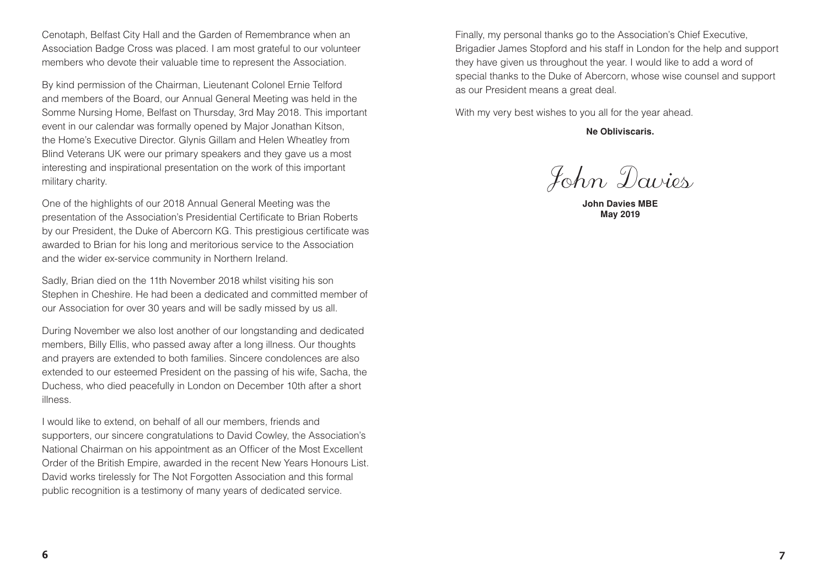Cenotaph, Belfast City Hall and the Garden of Remembrance when an Association Badge Cross was placed. I am most grateful to our volunteer members who devote their valuable time to represent the Association.

By kind permission of the Chairman, Lieutenant Colonel Ernie Telford and members of the Board, our Annual General Meeting was held in the Somme Nursing Home, Belfast on Thursday, 3rd May 2018. This important event in our calendar was formally opened by Major Jonathan Kitson, the Home's Executive Director. Glynis Gillam and Helen Wheatley from Blind Veterans UK were our primary speakers and they gave us a most interesting and inspirational presentation on the work of this important military charity.

One of the highlights of our 2018 Annual General Meeting was the presentation of the Association's Presidential Certificate to Brian Roberts by our President, the Duke of Abercorn KG. This prestigious certificate was awarded to Brian for his long and meritorious service to the Association and the wider ex-service community in Northern Ireland.

Sadly, Brian died on the 11th November 2018 whilst visiting his son Stephen in Cheshire. He had been a dedicated and committed member of our Association for over 30 years and will be sadly missed by us all.

During November we also lost another of our longstanding and dedicated members, Billy Ellis, who passed away after a long illness. Our thoughts and prayers are extended to both families. Sincere condolences are also extended to our esteemed President on the passing of his wife, Sacha, the Duchess, who died peacefully in London on December 10th after a short illness.

I would like to extend, on behalf of all our members, friends and supporters, our sincere congratulations to David Cowley, the Association's National Chairman on his appointment as an Officer of the Most Excellent Order of the British Empire, awarded in the recent New Years Honours List. David works tirelessly for The Not Forgotten Association and this formal public recognition is a testimony of many years of dedicated service.

Finally, my personal thanks go to the Association's Chief Executive, Brigadier James Stopford and his staff in London for the help and support they have given us throughout the year. I would like to add a word of special thanks to the Duke of Abercorn, whose wise counsel and support as our President means a great deal.

With my very best wishes to you all for the year ahead.

**Ne Obliviscaris.**

John Davies

**John Davies MBE May 2019**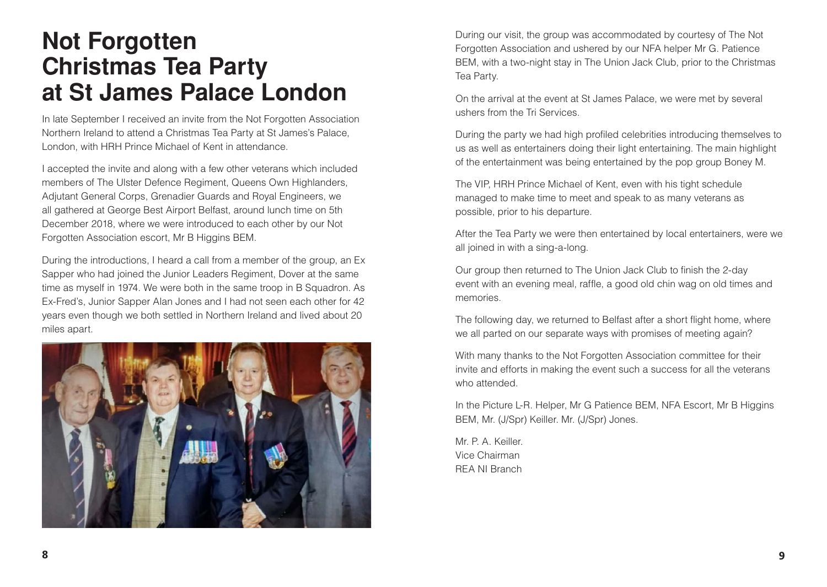## **Not Forgotten Christmas Tea Party at St James Palace London**

In late September I received an invite from the Not Forgotten Association Northern Ireland to attend a Christmas Tea Party at St James's Palace, London, with HRH Prince Michael of Kent in attendance.

I accepted the invite and along with a few other veterans which included members of The Ulster Defence Regiment, Queens Own Highlanders, Adjutant General Corps, Grenadier Guards and Royal Engineers, we all gathered at George Best Airport Belfast, around lunch time on 5th December 2018, where we were introduced to each other by our Not Forgotten Association escort, Mr B Higgins BEM.

During the introductions, I heard a call from a member of the group, an Ex Sapper who had joined the Junior Leaders Regiment, Dover at the same time as myself in 1974. We were both in the same troop in B Squadron. As Ex-Fred's, Junior Sapper Alan Jones and I had not seen each other for 42 years even though we both settled in Northern Ireland and lived about 20 miles apart.



During our visit, the group was accommodated by courtesy of The Not Forgotten Association and ushered by our NFA helper Mr G. Patience BEM, with a two-night stay in The Union Jack Club, prior to the Christmas Tea Party.

On the arrival at the event at St James Palace, we were met by several ushers from the Tri Services.

During the party we had high profiled celebrities introducing themselves to us as well as entertainers doing their light entertaining. The main highlight of the entertainment was being entertained by the pop group Boney M.

The VIP, HRH Prince Michael of Kent, even with his tight schedule managed to make time to meet and speak to as many veterans as possible, prior to his departure.

After the Tea Party we were then entertained by local entertainers, were we all joined in with a sing-a-long.

Our group then returned to The Union Jack Club to finish the 2-day event with an evening meal, raffle, a good old chin wag on old times and memories.

The following day, we returned to Belfast after a short flight home, where we all parted on our separate ways with promises of meeting again?

With many thanks to the Not Forgotten Association committee for their invite and efforts in making the event such a success for all the veterans who attended.

In the Picture L-R. Helper, Mr G Patience BEM, NFA Escort, Mr B Higgins BEM, Mr. (J/Spr) Keiller. Mr. (J/Spr) Jones.

Mr. P. A. Keiller. Vice Chairman REA NI Branch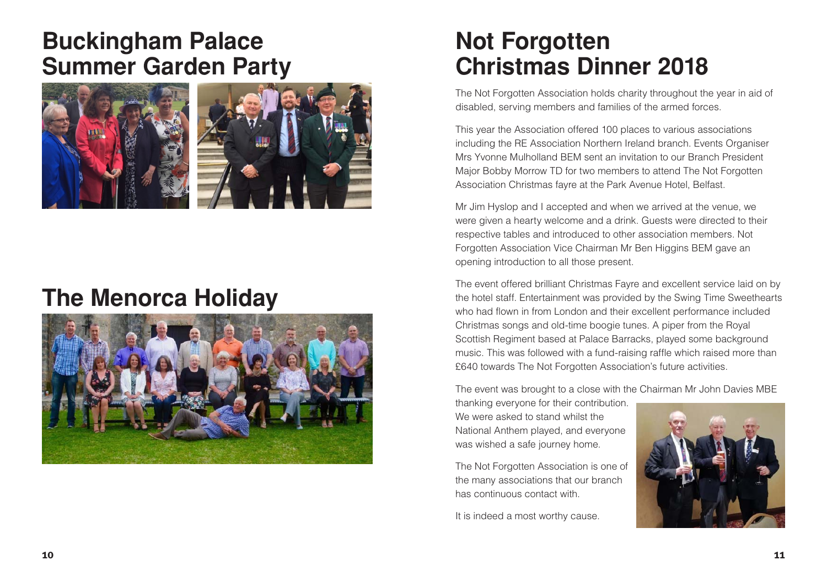## **Buckingham Palace Summer Garden Party**



## **The Menorca Holiday**



# **Not Forgotten Christmas Dinner 2018**

The Not Forgotten Association holds charity throughout the year in aid of disabled, serving members and families of the armed forces.

This year the Association offered 100 places to various associations including the RE Association Northern Ireland branch. Events Organiser Mrs Yvonne Mulholland BEM sent an invitation to our Branch President Major Bobby Morrow TD for two members to attend The Not Forgotten Association Christmas fayre at the Park Avenue Hotel, Belfast.

Mr Jim Hyslop and I accepted and when we arrived at the venue, we were given a hearty welcome and a drink. Guests were directed to their respective tables and introduced to other association members. Not Forgotten Association Vice Chairman Mr Ben Higgins BEM gave an opening introduction to all those present.

The event offered brilliant Christmas Fayre and excellent service laid on by the hotel staff. Entertainment was provided by the Swing Time Sweethearts who had flown in from London and their excellent performance included Christmas songs and old-time boogie tunes. A piper from the Royal Scottish Regiment based at Palace Barracks, played some background music. This was followed with a fund-raising raffle which raised more than £640 towards The Not Forgotten Association's future activities.

The event was brought to a close with the Chairman Mr John Davies MBE

thanking everyone for their contribution. We were asked to stand whilst the National Anthem played, and everyone was wished a safe journey home.

The Not Forgotten Association is one of the many associations that our branch has continuous contact with.

It is indeed a most worthy cause.

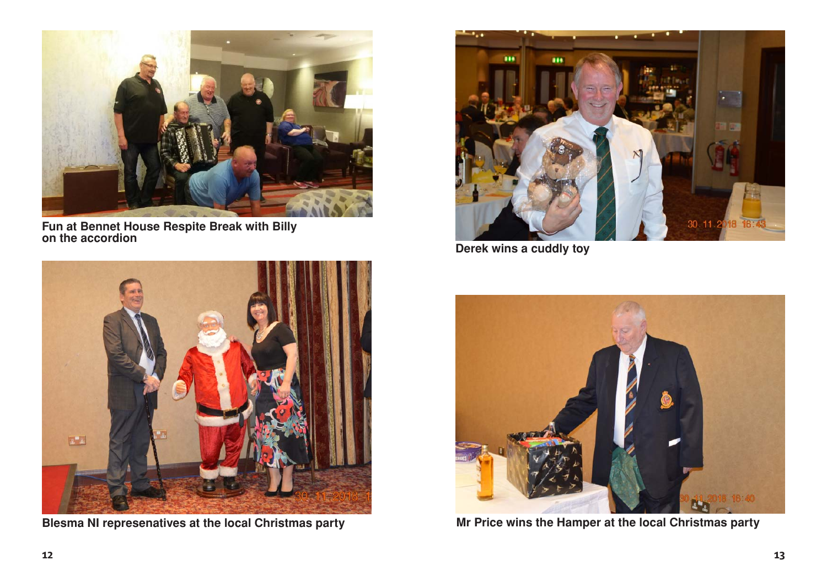

**Fun at Bennet House Respite Break with Billy on the accordion**





**Derek wins a cuddly toy**



**Blesma NI represenatives at the local Christmas party Mr Price wins the Hamper at the local Christmas party**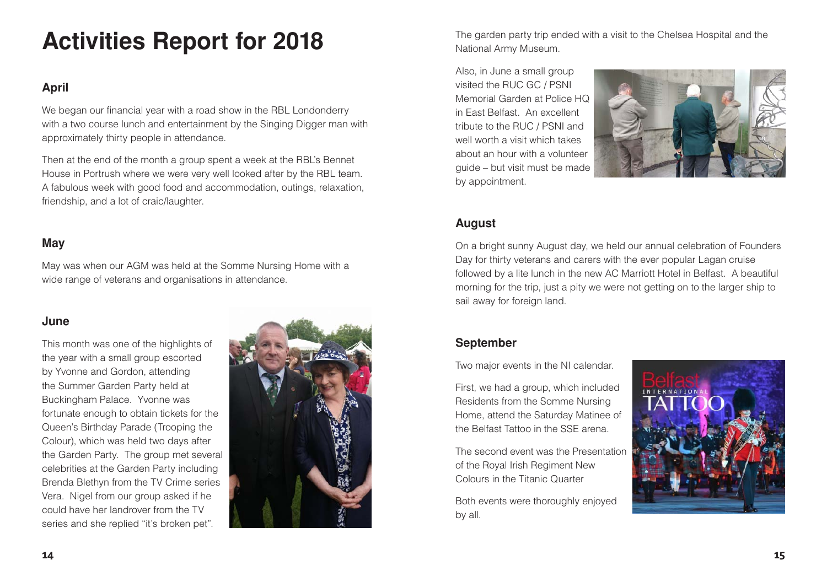# **Activities Report for 2018**

## **April**

We began our financial year with a road show in the RBL Londonderry with a two course lunch and entertainment by the Singing Digger man with approximately thirty people in attendance.

Then at the end of the month a group spent a week at the RBL's Bennet House in Portrush where we were very well looked after by the RBL team. A fabulous week with good food and accommodation, outings, relaxation, friendship, and a lot of craic/laughter.

## **May**

May was when our AGM was held at the Somme Nursing Home with a wide range of veterans and organisations in attendance.

### **June**

This month was one of the highlights of the year with a small group escorted by Yvonne and Gordon, attending the Summer Garden Party held at Buckingham Palace. Yvonne was fortunate enough to obtain tickets for the Queen's Birthday Parade (Trooping the Colour), which was held two days after the Garden Party. The group met several celebrities at the Garden Party including Brenda Blethyn from the TV Crime series Vera. Nigel from our group asked if he could have her landrover from the TV series and she replied "it's broken pet".



The garden party trip ended with a visit to the Chelsea Hospital and the National Army Museum.

Also, in June a small group visited the RUC GC / PSNI Memorial Garden at Police HQ in East Belfast. An excellent tribute to the RUC / PSNI and well worth a visit which takes about an hour with a volunteer guide – but visit must be made by appointment.



## **August**

On a bright sunny August day, we held our annual celebration of Founders Day for thirty veterans and carers with the ever popular Lagan cruise followed by a lite lunch in the new AC Marriott Hotel in Belfast. A beautiful morning for the trip, just a pity we were not getting on to the larger ship to sail away for foreign land.

### **September**

Two major events in the NI calendar.

First, we had a group, which included Residents from the Somme Nursing Home, attend the Saturday Matinee of the Belfast Tattoo in the SSE arena.

The second event was the Presentation of the Royal Irish Regiment New Colours in the Titanic Quarter

Both events were thoroughly enjoyed by all.

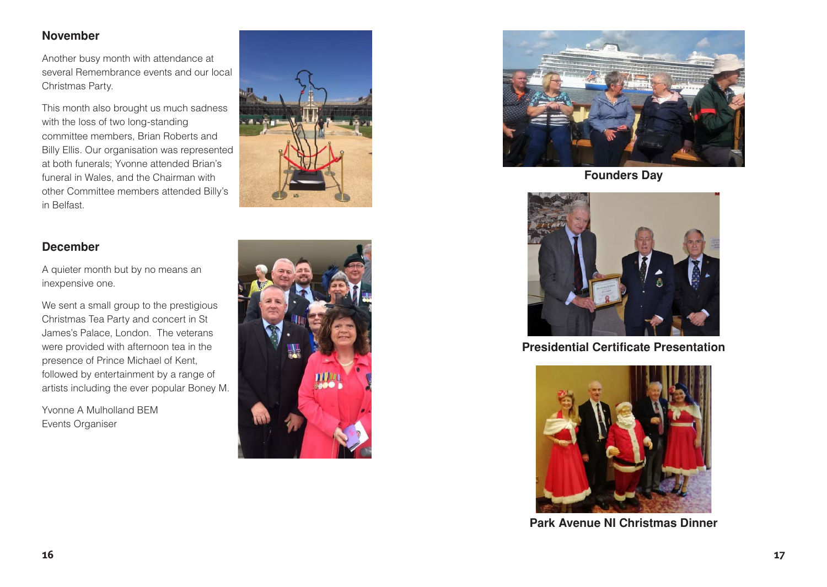## **November**

Another busy month with attendance at several Remembrance events and our local Christmas Party.

This month also brought us much sadness with the loss of two long-standing committee members, Brian Roberts and Billy Ellis. Our organisation was represented at both funerals; Yvonne attended Brian's funeral in Wales, and the Chairman with other Committee members attended Billy's in Belfast.



### **December**

A quieter month but by no means an inexpensive one.

We sent a small group to the prestigious Christmas Tea Party and concert in St James's Palace, London. The veterans were provided with afternoon tea in the presence of Prince Michael of Kent, followed by entertainment by a range of artists including the ever popular Boney M.

Yvonne A Mulholland BEM Events Organiser





**Founders Day**



**Presidential Certificate Presentation**



**Park Avenue NI Christmas Dinner**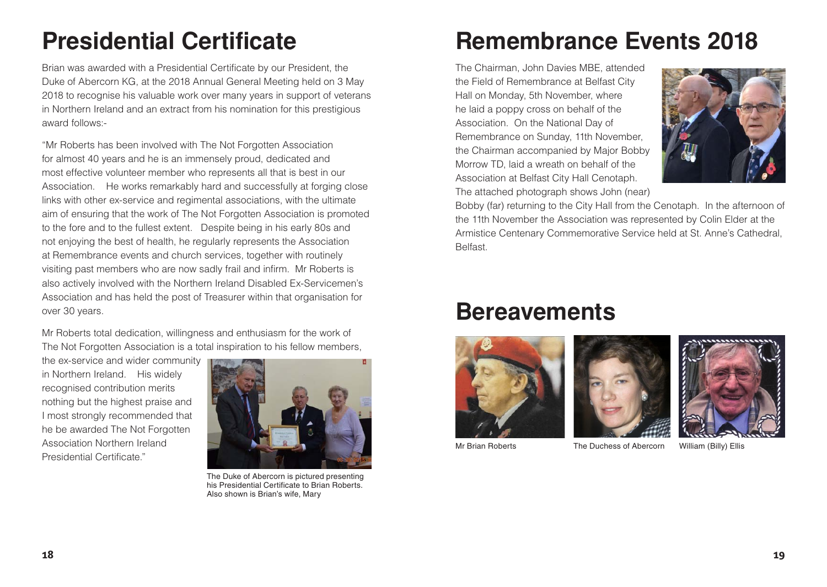# **Presidential Certificate**

Brian was awarded with a Presidential Certificate by our President, the Duke of Abercorn KG, at the 2018 Annual General Meeting held on 3 May 2018 to recognise his valuable work over many years in support of veterans in Northern Ireland and an extract from his nomination for this prestigious award follows:-

"Mr Roberts has been involved with The Not Forgotten Association for almost 40 years and he is an immensely proud, dedicated and most effective volunteer member who represents all that is best in our Association. He works remarkably hard and successfully at forging close links with other ex-service and regimental associations, with the ultimate aim of ensuring that the work of The Not Forgotten Association is promoted to the fore and to the fullest extent. Despite being in his early 80s and not enjoying the best of health, he regularly represents the Association at Remembrance events and church services, together with routinely visiting past members who are now sadly frail and infirm. Mr Roberts is also actively involved with the Northern Ireland Disabled Ex-Servicemen's Association and has held the post of Treasurer within that organisation for over 30 years.

Mr Roberts total dedication, willingness and enthusiasm for the work of The Not Forgotten Association is a total inspiration to his fellow members,

the ex-service and wider community in Northern Ireland. His widely recognised contribution merits nothing but the highest praise and I most strongly recommended that he be awarded The Not Forgotten Association Northern Ireland Presidential Certificate."



The Duke of Abercorn is pictured presenting his Presidential Certificate to Brian Roberts. Also shown is Brian's wife, Mary

# **Remembrance Events 2018**

The Chairman, John Davies MBE, attended the Field of Remembrance at Belfast City Hall on Monday, 5th November, where he laid a poppy cross on behalf of the Association. On the National Day of Remembrance on Sunday, 11th November, the Chairman accompanied by Major Bobby Morrow TD, laid a wreath on behalf of the Association at Belfast City Hall Cenotaph. The attached photograph shows John (near)



Bobby (far) returning to the City Hall from the Cenotaph. In the afternoon of the 11th November the Association was represented by Colin Elder at the Armistice Centenary Commemorative Service held at St. Anne's Cathedral, Belfast.

# **Bereavements**







Mr Brian Roberts

The Duchess of Abercorn William (Billy) Ellis